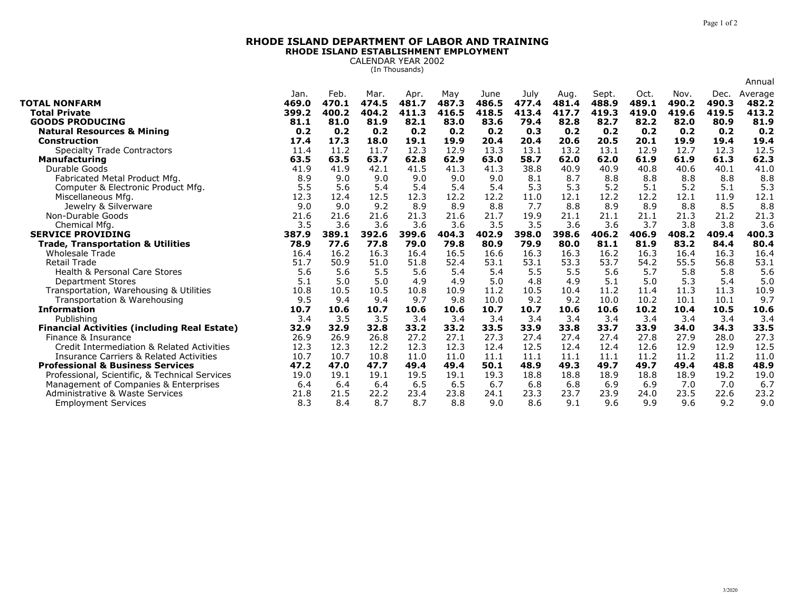## **RHODE ISLAND DEPARTMENT OF LABOR AND TRAININGRHODE ISLAND ESTABLISHMENT EMPLOYMENT**

CALENDAR YEAR 2002 (In Thousands)

|                                                       |             |             |             |             |             |             |             |             |             |             |               |             | Annual      |
|-------------------------------------------------------|-------------|-------------|-------------|-------------|-------------|-------------|-------------|-------------|-------------|-------------|---------------|-------------|-------------|
|                                                       | Jan.        | Feb.        | Mar.        | Apr.        | May         | June        | July        | Aug.        | Sept.       | Oct.        | Nov.          | Dec.        | Average     |
| <b>TOTAL NONFARM</b>                                  | 469.0       | 470.1       | 474.5       | 481.7       | 487.3       | 486.5       | 477.4       | 481.4       | 488.9       | 489.1       | 490.2         | 490.3       | 482.2       |
| <b>Total Private</b>                                  | 399.2       | 400.2       | 404.2       | 411.3       | 416.5       | 418.5       | 413.4       | 417.7       | 419.3       | 419.0       | 419.6<br>82.0 | 419.5       | 413.2       |
| <b>GOODS PRODUCING</b>                                | 81.1        | 81.0<br>0.2 | 81.9<br>0.2 | 82.1<br>0.2 | 83.0        | 83.6<br>0.2 | 79.4<br>0.3 | 82.8<br>0.2 | 82.7        | 82.2        | 0.2           | 80.9<br>0.2 | 81.9        |
| <b>Natural Resources &amp; Mining</b><br>Construction | 0.2<br>17.4 | 17.3        | 18.0        | 19.1        | 0.2<br>19.9 | 20.4        | 20.4        | 20.6        | 0.2<br>20.5 | 0.2<br>20.1 | 19.9          | 19.4        | 0.2<br>19.4 |
| <b>Specialty Trade Contractors</b>                    | 11.4        | 11.2        | 11.7        | 12.3        | 12.9        | 13.3        | 13.1        | 13.2        | 13.1        | 12.9        | 12.7          | 12.3        | 12.5        |
| <b>Manufacturing</b>                                  | 63.5        | 63.5        | 63.7        | 62.8        | 62.9        | 63.0        | 58.7        | 62.0        | 62.0        | 61.9        | 61.9          | 61.3        | 62.3        |
| Durable Goods                                         | 41.9        | 41.9        | 42.1        | 41.5        | 41.3        | 41.3        | 38.8        | 40.9        | 40.9        | 40.8        | 40.6          | 40.1        | 41.0        |
| Fabricated Metal Product Mfg.                         | 8.9         | 9.0         | 9.0         | 9.0         | 9.0         | 9.0         | 8.1         | 8.7         | 8.8         | 8.8         | 8.8           | 8.8         | 8.8         |
| Computer & Electronic Product Mfg.                    | 5.5         | 5.6         | 5.4         | 5.4         | 5.4         | 5.4         | 5.3         | 5.3         | 5.2         | 5.1         | 5.2           | 5.1         | 5.3         |
| Miscellaneous Mfg.                                    | 12.3        | 12.4        | 12.5        | 12.3        | 12.2        | 12.2        | 11.0        | 12.1        | 12.2        | 12.2        | 12.1          | 11.9        | 12.1        |
| Jewelry & Silverware                                  | 9.0         | 9.0         | 9.2         | 8.9         | 8.9         | 8.8         | 7.7         | 8.8         | 8.9         | 8.9         | 8.8           | 8.5         | 8.8         |
| Non-Durable Goods                                     | 21.6        | 21.6        | 21.6        | 21.3        | 21.6        | 21.7        | 19.9        | 21.1        | 21.1        | 21.1        | 21.3          | 21.2        | 21.3        |
| Chemical Mfg                                          | 3.5         | 3.6         | 3.6         | 3.6         | 3.6         | 3.5         | 3.5         | 3.6         | 3.6         | 3.7         | 3.8           | 3.8         | 3.6         |
| <b>SERVICE PROVIDING</b>                              | 387.9       | 389.1       | 392.6       | 399.6       | 404.3       | 402.9       | 398.0       | 398.6       | 406.2       | 406.9       | 408.2         | 409.4       | 400.3       |
| <b>Trade, Transportation &amp; Utilities</b>          | 78.9        | 77.6        | 77.8        | 79.0        | 79.8        | 80.9        | 79.9        | 80.0        | 81.1        | 81.9        | 83.2          | 84.4        | 80.4        |
| <b>Wholesale Trade</b>                                | 16.4        | 16.2        | 16.3        | 16.4        | 16.5        | 16.6        | 16.3        | 16.3        | 16.2        | 16.3        | 16.4          | 16.3        | 16.4        |
| <b>Retail Trade</b>                                   | 51.7        | 50.9        | 51.0        | 51.8        | 52.4        | 53.1        | 53.1        | 53.3        | 53.7        | 54.2        | 55.5          | 56.8        | 53.1        |
| <b>Health &amp; Personal Care Stores</b>              | 5.6         | 5.6         | 5.5         | 5.6         | 5.4         | 5.4         | 5.5         | 5.5         | 5.6         | 5.7         | 5.8           | 5.8         | 5.6         |
| <b>Department Stores</b>                              | 5.1         | 5.0         | 5.0         | 4.9         | 4.9         | 5.0         | 4.8         | 4.9         | 5.1         | 5.0         | 5.3           | 5.4         | 5.0         |
| Transportation, Warehousing & Utilities               | 10.8        | 10.5        | 10.5        | 10.8        | 10.9        | 11.2        | 10.5        | 10.4        | 11.2        | 11.4        | 11.3          | 11.3        | 10.9        |
| Transportation & Warehousing                          | 9.5         | 9.4         | 9.4         | 9.7         | 9.8         | 10.0        | 9.2         | 9.2         | 10.0        | 10.2        | 10.1          | 10.1        | 9.7         |
| <b>Information</b>                                    | 10.7        | 10.6        | 10.7        | 10.6        | 10.6        | 10.7        | 10.7        | 10.6        | 10.6        | 10.2        | 10.4          | 10.5        | 10.6        |
| Publishing                                            | 3.4         | 3.5         | 3.5         | 3.4         | 3.4         | 3.4         | 3.4         | 3.4         | 3.4         | 3.4         | 3.4           | 3.4         | 3.4         |
| <b>Financial Activities (including Real Estate)</b>   | 32.9        | 32.9        | 32.8        | 33.2        | 33.2        | 33.5        | 33.9        | 33.8        | 33.7        | 33.9        | 34.0          | 34.3        | 33.5        |
| Finance & Insurance                                   | 26.9        | 26.9        | 26.8        | 27.2        | 27.1        | 27.3        | 27.4        | 27.4        | 27.4        | 27.8        | 27.9          | 28.0        | 27.3        |
| Credit Intermediation & Related Activities            | 12.3        | 12.3        | 12.2        | 12.3        | 12.3        | 12.4        | 12.5        | 12.4        | 12.4        | 12.6        | 12.9          | 12.9        | 12.5        |
| <b>Insurance Carriers &amp; Related Activities</b>    | 10.7        | 10.7        | 10.8        | 11.0        | 11.0        | 11.1        | 11.1        | 11.1        | 11.1        | 11.2        | 11.2          | 11.2        | 11.0        |
| <b>Professional &amp; Business Services</b>           | 47.2        | 47.0        | 47.7        | 49.4        | 49.4        | 50.1        | 48.9        | 49.3        | 49.7        | 49.7        | 49.4          | 48.8        | 48.9        |
| Professional, Scientific, & Technical Services        | 19.0        | 19.1        | 19.1        | 19.5        | 19.1        | 19.3        | 18.8        | 18.8        | 18.9        | 18.8        | 18.9          | 19.2        | 19.0        |
| Management of Companies & Enterprises                 | 6.4         | 6.4         | 6.4         | 6.5         | 6.5         | 6.7         | 6.8         | 6.8         | 6.9         | 6.9         | 7.0           | 7.0         | 6.7         |
| Administrative & Waste Services                       | 21.8        | 21.5        | 22.2        | 23.4        | 23.8        | 24.1        | 23.3        | 23.7        | 23.9        | 24.0        | 23.5          | 22.6        | 23.2        |
| <b>Employment Services</b>                            | 8.3         | 8.4         | 8.7         | 8.7         | 8.8         | 9.0         | 8.6         | 9.1         | 9.6         | 9.9         | 9.6           | 9.2         | 9.0         |